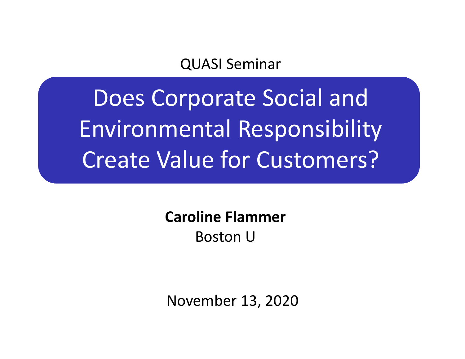#### QUASI Seminar

Does Corporate Social and Environmental Responsibility Create Value for Customers?

> **Caroline Flammer**Boston U

November 13, 2020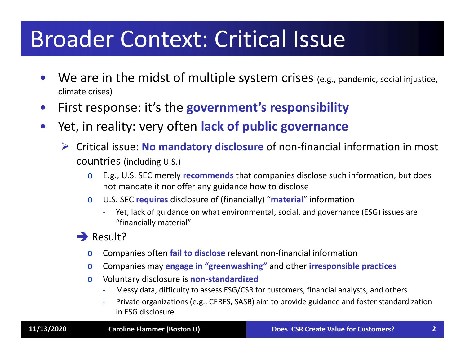# Broader Context: Critical Issue

- •We are in the midst of multiple system crises (e.g., pandemic, social injustice, climate crises)
- $\bullet$ First response: it's the **government's responsibility**
- $\bullet$  Yet, in reality: very often **lack of public governance**
	- Critical issue: **No mandatory disclosure** of non‐financial information in most countries (including U.S.)
		- o E.g., U.S. SEC merely **recommends** that companies disclose such information, but does not mandate it nor offer any guidance how to disclose
		- o U.S. SEC **requires** disclosure of (financially) "**material**" information
			- ‐ Yet, lack of guidance on what environmental, social, and governance (ESG) issues are "financially material"

 $\rightarrow$  Result?

- oCompanies often **fail to disclose** relevant non‐financial information
- oCompanies may **engage in "greenwashing"** and other **irresponsible practices**
- o Voluntary disclosure is **non‐standardized** 
	- ‐Messy data, difficulty to assess ESG/CSR for customers, financial analysts, and others
	- ‐ Private organizations (e.g., CERES, SASB) aim to provide guidance and foster standardization in ESG disclosure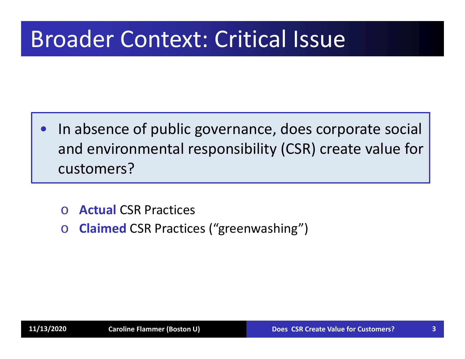## Broader Context: Critical Issue

- $\bullet$  In absence of public governance, does corporate social and environmental responsibility (CSR) create value for customers?
	- o**Actual** CSR Practices
	- o**Claimed** CSR Practices ("greenwashing")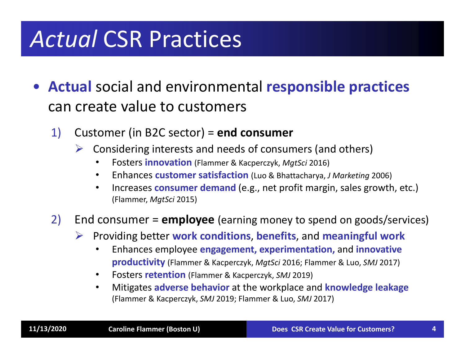## *Actual* CSR Practices

- **Actual** social and environmental **responsible practices** can create value to customers
	- 1) Customer (in B2C sector) = **end consumer**
		- $\sum_{i=1}^{n}$  Considering interests and needs of consumers (and others)
			- •Fosters **innovation** (Flammer & Kacperczyk, *MgtSci* 2016)
			- $\bullet$ Enhances **customer satisfaction** (Luo & Bhattacharya, *J Marketing* 2006)
			- $\bullet$  Increases **consumer demand** (e.g., net profit margin, sales growth, etc.) (Flammer, *MgtSci* 2015)

#### 2) End consumer = **employee** (earning money to spend on goods/services)

- $\triangleright$  Providing better **work conditions**, **benefits**, and **meaningful work**
	- $\bullet$  Enhances employee **engagement, experimentation,** and **innovative productivity** (Flammer & Kacperczyk, *MgtSci* 2016; Flammer & Luo, *SMJ* 2017)
	- •Fosters **retention** (Flammer & Kacperczyk, *SMJ* 2019)
	- • Mitigates **adverse behavior** at the workplace and **knowledge leakage**  (Flammer & Kacperczyk, *SMJ* 2019; Flammer & Luo, *SMJ* 2017)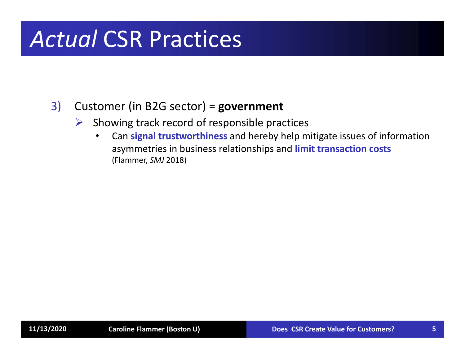## *Actual* CSR Practices

#### 3) Customer (in B2G sector) = **government**

- $\blacktriangleright$  Showing track record of responsible practices
	- $\bullet$  Can **signal trustworthiness** and hereby help mitigate issues of information asymmetries in business relationships and **limit transaction costs**  (Flammer, *SMJ* 2018)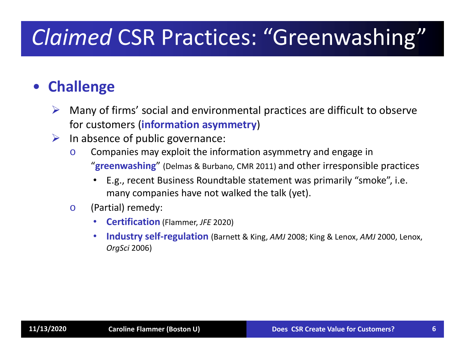## *Claimed* CSR Practices: "Greenwashing"

#### $\bullet$ **Challenge**

- $\blacktriangleright$  Many of firms' social and environmental practices are difficult to observe for customers (**information asymmetry**)
- $\blacktriangleright$  In absence of public governance:
	- o Companies may exploit the information asymmetry and engage in "**greenwashing** " (Delmas & Burbano, CMR 2011) and other irresponsible practices
		- E.g., recent Business Roundtable statement was primarily "smoke", i.e. many companies have not walked the talk (yet).
	- o (Partial) remedy:
		- •**Certification** (Flammer, *JFE* 2020)
		- • **Industry self‐regulation** (Barnett & King, *AMJ* 2008; King & Lenox, *AMJ* 2000, Lenox, *OrgSci* 2006)